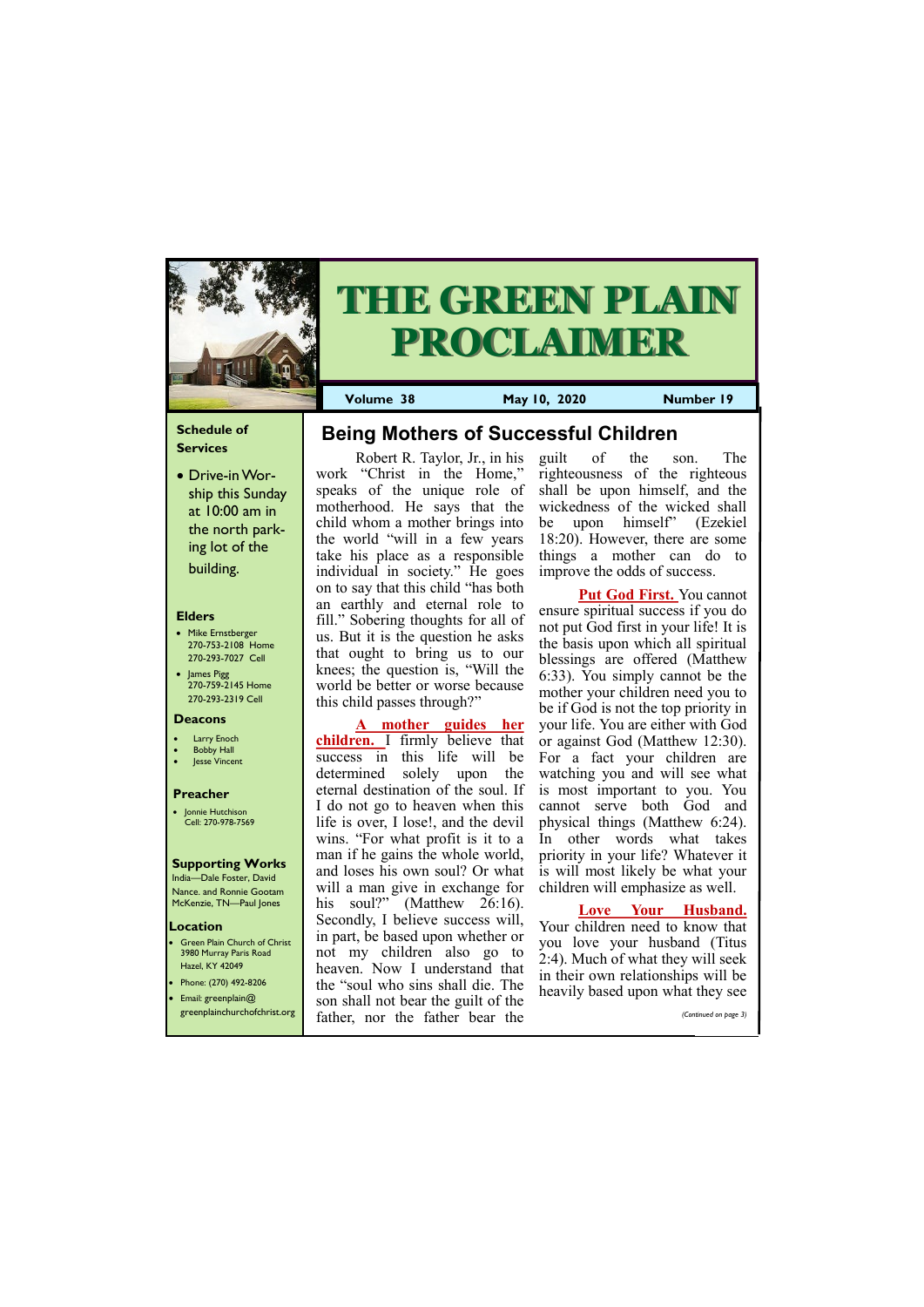## **Schedule of Services**

• Drive-in Worship this Sunday at 10:00 am in the north parking lot of the building.

### **Elders**

**Green Plain Church of Christ** 3980 Murray Paris Road Hazel, KY 42049 • Phone: (270) 492-8206

- Mike Ernstberger 270-753-2108 Home 270-293-7027 Cell
- James Pigg 270-759-2145 Home 270-293-2319 Cell

#### **Location**



# **THE GREEN PLAIN PROCLAIMER**

**Volume 38 May 10, 2020 Number 19**

#### **Deacons**

- **Larry Enoch**
- **Bobby Hall**
- Jesse Vincent

### **Preacher**

• Jonnie Hutchison Cell: 270-978-7569

#### **Supporting Works**

India—Dale Foster, David Nance. and Ronnie Gootam McKenzie, TN—Paul Jones

work "Christ in the Home," speaks of the unique role of motherhood. He says that the child whom a mother brings into the world "will in a few years take his place as a responsible individual in society." He goes on to say that this child "has both an earthly and eternal role to fill." Sobering thoughts for all of us. But it is the question he asks that ought to bring us to our knees; the question is, "Will the world be better or worse because this child passes through?"

**A mother guides her children.** I firmly believe that success in this life will be determined solely upon the eternal destination of the soul. If I do not go to heaven when this life is over, I lose!, and the devil wins. "For what profit is it to a man if he gains the whole world, and loses his own soul? Or what will a man give in exchange for his soul?" (Matthew 26:16). Secondly, I believe success will, in part, be based upon whether or not my children also go to heaven. Now I understand that the "soul who sins shall die. The

|                              | the soul who sins shall die. The    | heavily based upon what they see |
|------------------------------|-------------------------------------|----------------------------------|
| • Email: greenplain $@$      | son shall not bear the guilt of the |                                  |
| greenplainchurchofchrist.org | father, nor the father bear the     | (Continued on page 3)            |

Robert R. Taylor, Jr., in his **Being Mothers of Successful Children**

guilt of the son. The righteousness of the righteous shall be upon himself, and the wickedness of the wicked shall be upon himself" (Ezekiel 18:20). However, there are some things a mother can do to improve the odds of success.

**Put God First.** You cannot ensure spiritual success if you do not put God first in your life! It is the basis upon which all spiritual blessings are offered (Matthew 6:33). You simply cannot be the mother your children need you to be if God is not the top priority in your life. You are either with God or against God (Matthew 12:30). For a fact your children are watching you and will see what is most important to you. You cannot serve both God and physical things (Matthew 6:24). In other words what takes priority in your life? Whatever it is will most likely be what your children will emphasize as well.

## **Love Your Husband.**

Your children need to know that you love your husband (Titus 2:4). Much of what they will seek in their own relationships will be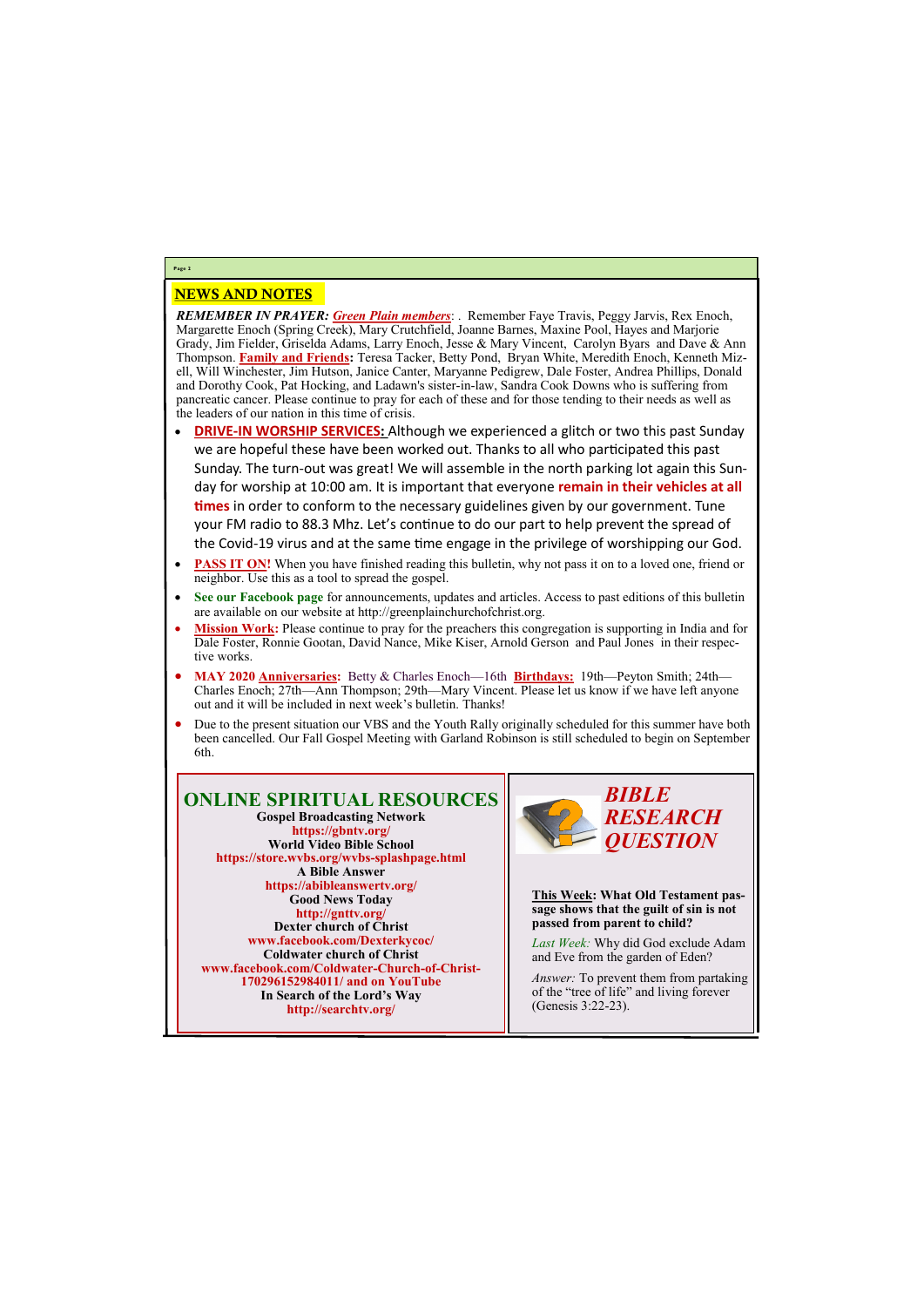## NEWS AND NOTES

*REMEMBER IN PRAYER: Green Plain members*: . Remember Faye Travis, Peggy Jarvis, Rex Enoch, Margarette Enoch (Spring Creek), Mary Crutchfield, Joanne Barnes, Maxine Pool, Hayes and Marjorie Grady, Jim Fielder, Griselda Adams, Larry Enoch, Jesse & Mary Vincent, Carolyn Byars and Dave & Ann Thompson. **Family and Friends:** Teresa Tacker, Betty Pond, Bryan White, Meredith Enoch, Kenneth Mizell, Will Winchester, Jim Hutson, Janice Canter, Maryanne Pedigrew, Dale Foster, Andrea Phillips, Donald and Dorothy Cook, Pat Hocking, and Ladawn's sister-in-law, Sandra Cook Downs who is suffering from pancreatic cancer. Please continue to pray for each of these and for those tending to their needs as well as the leaders of our nation in this time of crisis.

- **DRIVE-IN WORSHIP SERVICES:** Although we experienced a glitch or two this past Sunday we are hopeful these have been worked out. Thanks to all who participated this past Sunday. The turn-out was great! We will assemble in the north parking lot again this Sunday for worship at 10:00 am. It is important that everyone **remain in their vehicles at all times** in order to conform to the necessary guidelines given by our government. Tune your FM radio to 88.3 Mhz. Let's continue to do our part to help prevent the spread of the Covid-19 virus and at the same time engage in the privilege of worshipping our God.
- **PASS IT ON!** When you have finished reading this bulletin, why not pass it on to a loved one, friend or neighbor. Use this as a tool to spread the gospel.
- **See our Facebook page** for announcements, updates and articles. Access to past editions of this bulletin are available on our website at http://greenplainchurchofchrist.org.
- **Mission Work:** Please continue to pray for the preachers this congregation is supporting in India and for Dale Foster, Ronnie Gootan, David Nance, Mike Kiser, Arnold Gerson and Paul Jones in their respective works.
- **MAY 2020 Anniversaries:** Betty & Charles Enoch—16th **Birthdays:** 19th—Peyton Smith; 24th— Charles Enoch; 27th—Ann Thompson; 29th—Mary Vincent. Please let us know if we have left anyone out and it will be included in next week's bulletin. Thanks!
- Due to the present situation our VBS and the Youth Rally originally scheduled for this summer have both been cancelled. Our Fall Gospel Meeting with Garland Robinson is still scheduled to begin on September 6th.

## **Page 2**

#### **ONLINE SPIRITUAL RESOURCES Gospel Broadcasting Network https://gbntv.org/ World Video Bible School https://store.wvbs.org/wvbs-splashpage.html A Bible Answer https://abibleanswertv.org/ Good News Today http://gnttv.org/ Dexter church of Christ www.facebook.com/Dexterkycoc/ Coldwater church of Christ www.facebook.com/Coldwater-Church-of-Christ-**

**170296152984011/ and on YouTube In Search of the Lord's Way http://searchtv.org/**



**This Week: What Old Testament passage shows that the guilt of sin is not passed from parent to child?**

*Last Week:* Why did God exclude Adam and Eve from the garden of Eden?

*Answer:* To prevent them from partaking

of the "tree of life" and living forever (Genesis 3:22-23).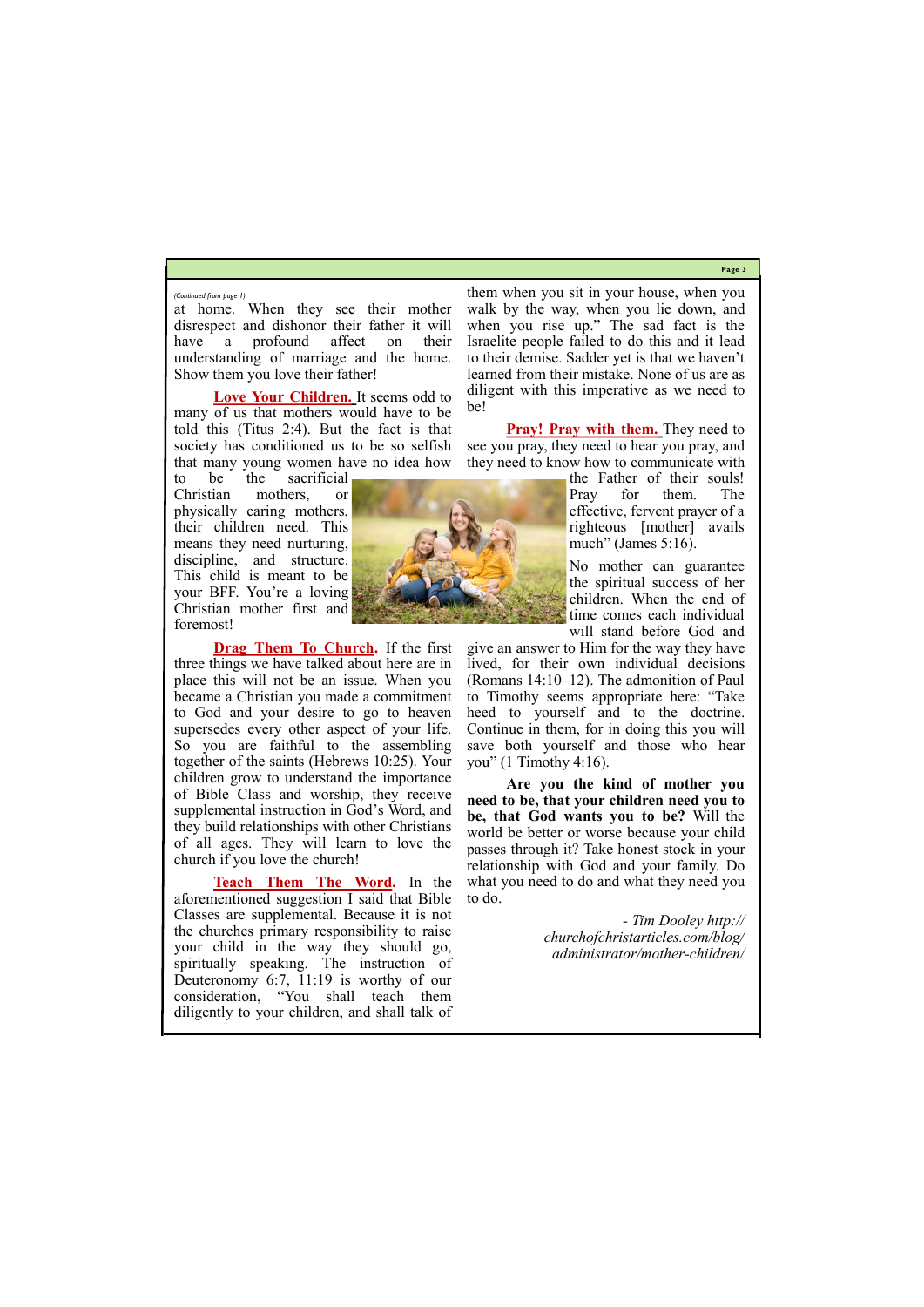**Page 3**

at home. When they see their mother disrespect and dishonor their father it will have a profound affect on their understanding of marriage and the home. Show them you love their father!

**Love Your Children.** It seems odd to many of us that mothers would have to be told this (Titus 2:4). But the fact is that society has conditioned us to be so selfish that many young women have no idea how

to be the sacrificial Christian mothers, or physically caring mothers, their children need. This means they need nurturing, discipline, and structure. This child is meant to be your BFF. You're a loving Christian mother first and foremost!

**Drag Them To Church.** If the first three things we have talked about here are in place this will not be an issue. When you became a Christian you made a commitment to God and your desire to go to heaven supersedes every other aspect of your life. So you are faithful to the assembling together of the saints (Hebrews 10:25). Your children grow to understand the importance of Bible Class and worship, they receive supplemental instruction in God's Word, and they build relationships with other Christians of all ages. They will learn to love the church if you love the church!

**Pray! Pray with them.** They need to see you pray, they need to hear you pray, and they need to know how to communicate with

**Teach Them The Word.** In the aforementioned suggestion I said that Bible Classes are supplemental. Because it is not the churches primary responsibility to raise your child in the way they should go, spiritually speaking. The instruction of Deuteronomy 6:7, 11:19 is worthy of our

consideration, "You shall teach them diligently to your children, and shall talk of

them when you sit in your house, when you walk by the way, when you lie down, and when you rise up." The sad fact is the Israelite people failed to do this and it lead to their demise. Sadder yet is that we haven't learned from their mistake. None of us are as diligent with this imperative as we need to be!

> the Father of their souls! Pray for them. The effective, fervent prayer of a righteous [mother] avails much" (James 5:16).

> No mother can guarantee the spiritual success of her children. When the end of time comes each individual will stand before God and

give an answer to Him for the way they have lived, for their own individual decisions (Romans 14:10–12). The admonition of Paul to Timothy seems appropriate here: "Take heed to yourself and to the doctrine. Continue in them, for in doing this you will save both yourself and those who hear you" (1 Timothy 4:16).

**Are you the kind of mother you need to be, that your children need you to be, that God wants you to be?** Will the world be better or worse because your child passes through it? Take honest stock in your relationship with God and your family. Do what you need to do and what they need you to do.

> *- Tim Dooley http:// churchofchristarticles.com/blog/ administrator/mother-children/*



#### *(Continued from page 1)*